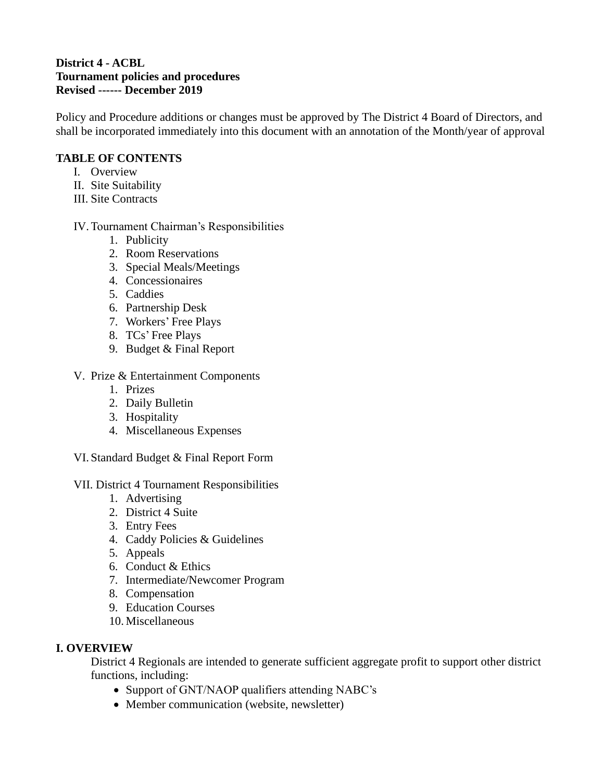## **District 4 - ACBL Tournament policies and procedures Revised ------ December 2019**

Policy and Procedure additions or changes must be approved by The District 4 Board of Directors, and shall be incorporated immediately into this document with an annotation of the Month/year of approval

# **TABLE OF CONTENTS**

- I. Overview
- II. Site Suitability
- III. Site Contracts

## IV.Tournament Chairman's Responsibilities

- 1. Publicity
- 2. Room Reservations
- 3. Special Meals/Meetings
- 4. Concessionaires
- 5. Caddies
- 6. Partnership Desk
- 7. Workers' Free Plays
- 8. TCs' Free Plays
- 9. Budget & Final Report
- V. Prize & Entertainment Components
	- 1. Prizes
	- 2. Daily Bulletin
	- 3. Hospitality
	- 4. Miscellaneous Expenses
- VI. Standard Budget & Final Report Form

#### VII. District 4 Tournament Responsibilities

- 1. Advertising
- 2. District 4 Suite
- 3. Entry Fees
- 4. Caddy Policies & Guidelines
- 5. Appeals
- 6. Conduct & Ethics
- 7. Intermediate/Newcomer Program
- 8. Compensation
- 9. Education Courses
- 10. Miscellaneous

#### **I. OVERVIEW**

District 4 Regionals are intended to generate sufficient aggregate profit to support other district functions, including:

- Support of GNT/NAOP qualifiers attending NABC's
- Member communication (website, newsletter)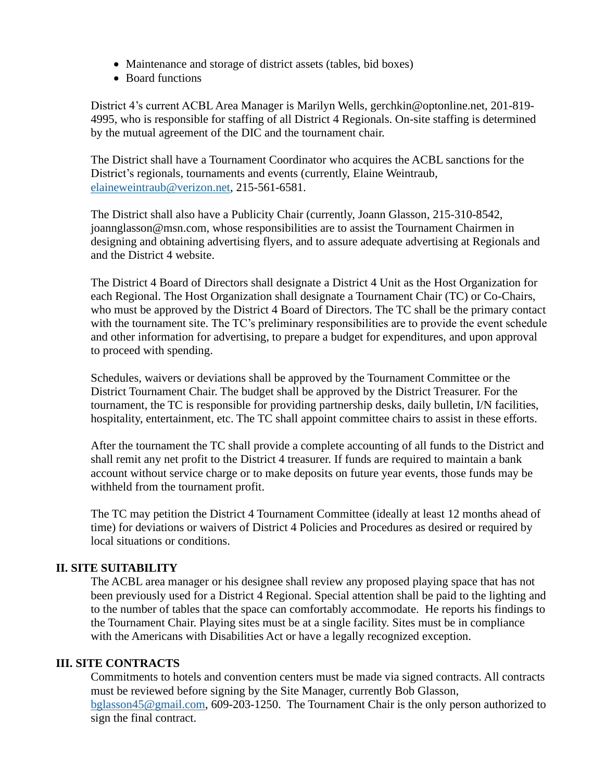- Maintenance and storage of district assets (tables, bid boxes)
- Board functions

District 4's current ACBL Area Manager is Marilyn Wells, gerchkin@optonline.net, 201-819- 4995, who is responsible for staffing of all District 4 Regionals. On-site staffing is determined by the mutual agreement of the DIC and the tournament chair.

The District shall have a Tournament Coordinator who acquires the ACBL sanctions for the District's regionals, tournaments and events (currently, Elaine Weintraub, [elaineweintraub@verizon.net,](mailto:elaineweintraub@verizon.net) 215-561-6581.

The District shall also have a Publicity Chair (currently, Joann Glasson, 215-310-8542, joannglasson@msn.com, whose responsibilities are to assist the Tournament Chairmen in designing and obtaining advertising flyers, and to assure adequate advertising at Regionals and and the District 4 website.

The District 4 Board of Directors shall designate a District 4 Unit as the Host Organization for each Regional. The Host Organization shall designate a Tournament Chair (TC) or Co-Chairs, who must be approved by the District 4 Board of Directors. The TC shall be the primary contact with the tournament site. The TC's preliminary responsibilities are to provide the event schedule and other information for advertising, to prepare a budget for expenditures, and upon approval to proceed with spending.

Schedules, waivers or deviations shall be approved by the Tournament Committee or the District Tournament Chair. The budget shall be approved by the District Treasurer. For the tournament, the TC is responsible for providing partnership desks, daily bulletin, I/N facilities, hospitality, entertainment, etc. The TC shall appoint committee chairs to assist in these efforts.

After the tournament the TC shall provide a complete accounting of all funds to the District and shall remit any net profit to the District 4 treasurer. If funds are required to maintain a bank account without service charge or to make deposits on future year events, those funds may be withheld from the tournament profit.

The TC may petition the District 4 Tournament Committee (ideally at least 12 months ahead of time) for deviations or waivers of District 4 Policies and Procedures as desired or required by local situations or conditions.

# **II. SITE SUITABILITY**

The ACBL area manager or his designee shall review any proposed playing space that has not been previously used for a District 4 Regional. Special attention shall be paid to the lighting and to the number of tables that the space can comfortably accommodate. He reports his findings to the Tournament Chair. Playing sites must be at a single facility. Sites must be in compliance with the Americans with Disabilities Act or have a legally recognized exception.

#### **III. SITE CONTRACTS**

Commitments to hotels and convention centers must be made via signed contracts. All contracts must be reviewed before signing by the Site Manager, currently Bob Glasson, [bglasson45@gmail.com,](mailto:bglasson45@gmail.com) 609-203-1250. The Tournament Chair is the only person authorized to sign the final contract.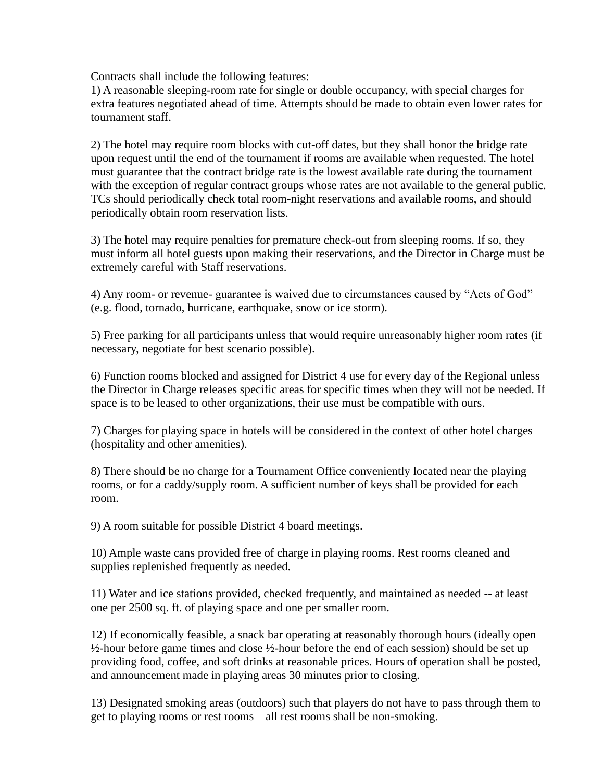Contracts shall include the following features:

1) A reasonable sleeping-room rate for single or double occupancy, with special charges for extra features negotiated ahead of time. Attempts should be made to obtain even lower rates for tournament staff.

2) The hotel may require room blocks with cut-off dates, but they shall honor the bridge rate upon request until the end of the tournament if rooms are available when requested. The hotel must guarantee that the contract bridge rate is the lowest available rate during the tournament with the exception of regular contract groups whose rates are not available to the general public. TCs should periodically check total room-night reservations and available rooms, and should periodically obtain room reservation lists.

3) The hotel may require penalties for premature check-out from sleeping rooms. If so, they must inform all hotel guests upon making their reservations, and the Director in Charge must be extremely careful with Staff reservations.

4) Any room- or revenue- guarantee is waived due to circumstances caused by "Acts of God" (e.g. flood, tornado, hurricane, earthquake, snow or ice storm).

5) Free parking for all participants unless that would require unreasonably higher room rates (if necessary, negotiate for best scenario possible).

6) Function rooms blocked and assigned for District 4 use for every day of the Regional unless the Director in Charge releases specific areas for specific times when they will not be needed. If space is to be leased to other organizations, their use must be compatible with ours.

7) Charges for playing space in hotels will be considered in the context of other hotel charges (hospitality and other amenities).

8) There should be no charge for a Tournament Office conveniently located near the playing rooms, or for a caddy/supply room. A sufficient number of keys shall be provided for each room.

9) A room suitable for possible District 4 board meetings.

10) Ample waste cans provided free of charge in playing rooms. Rest rooms cleaned and supplies replenished frequently as needed.

11) Water and ice stations provided, checked frequently, and maintained as needed -- at least one per 2500 sq. ft. of playing space and one per smaller room.

12) If economically feasible, a snack bar operating at reasonably thorough hours (ideally open ½-hour before game times and close ½-hour before the end of each session) should be set up providing food, coffee, and soft drinks at reasonable prices. Hours of operation shall be posted, and announcement made in playing areas 30 minutes prior to closing.

13) Designated smoking areas (outdoors) such that players do not have to pass through them to get to playing rooms or rest rooms – all rest rooms shall be non-smoking.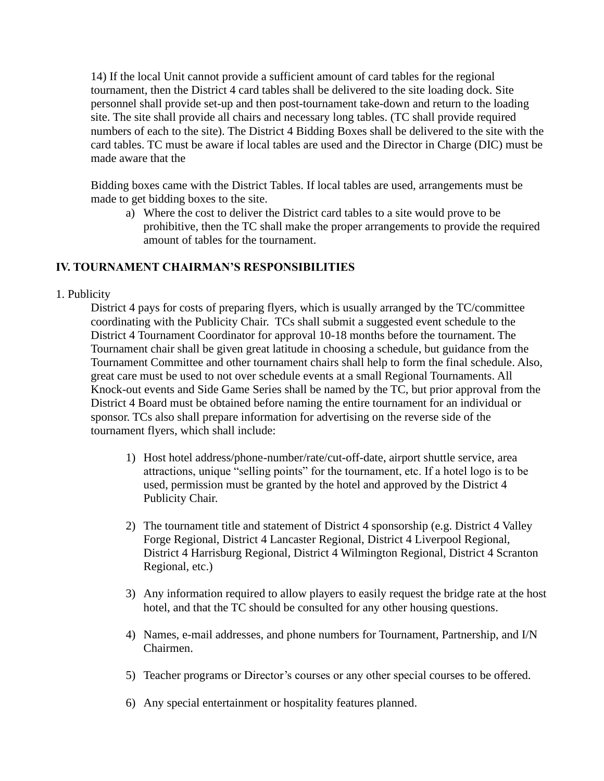14) If the local Unit cannot provide a sufficient amount of card tables for the regional tournament, then the District 4 card tables shall be delivered to the site loading dock. Site personnel shall provide set-up and then post-tournament take-down and return to the loading site. The site shall provide all chairs and necessary long tables. (TC shall provide required numbers of each to the site). The District 4 Bidding Boxes shall be delivered to the site with the card tables. TC must be aware if local tables are used and the Director in Charge (DIC) must be made aware that the

Bidding boxes came with the District Tables. If local tables are used, arrangements must be made to get bidding boxes to the site.

a) Where the cost to deliver the District card tables to a site would prove to be prohibitive, then the TC shall make the proper arrangements to provide the required amount of tables for the tournament.

## **IV. TOURNAMENT CHAIRMAN'S RESPONSIBILITIES**

1. Publicity

District 4 pays for costs of preparing flyers, which is usually arranged by the TC/committee coordinating with the Publicity Chair. TCs shall submit a suggested event schedule to the District 4 Tournament Coordinator for approval 10-18 months before the tournament. The Tournament chair shall be given great latitude in choosing a schedule, but guidance from the Tournament Committee and other tournament chairs shall help to form the final schedule. Also, great care must be used to not over schedule events at a small Regional Tournaments. All Knock-out events and Side Game Series shall be named by the TC, but prior approval from the District 4 Board must be obtained before naming the entire tournament for an individual or sponsor. TCs also shall prepare information for advertising on the reverse side of the tournament flyers, which shall include:

- 1) Host hotel address/phone-number/rate/cut-off-date, airport shuttle service, area attractions, unique "selling points" for the tournament, etc. If a hotel logo is to be used, permission must be granted by the hotel and approved by the District 4 Publicity Chair.
- 2) The tournament title and statement of District 4 sponsorship (e.g. District 4 Valley Forge Regional, District 4 Lancaster Regional, District 4 Liverpool Regional, District 4 Harrisburg Regional, District 4 Wilmington Regional, District 4 Scranton Regional, etc.)
- 3) Any information required to allow players to easily request the bridge rate at the host hotel, and that the TC should be consulted for any other housing questions.
- 4) Names, e-mail addresses, and phone numbers for Tournament, Partnership, and I/N Chairmen.
- 5) Teacher programs or Director's courses or any other special courses to be offered.
- 6) Any special entertainment or hospitality features planned.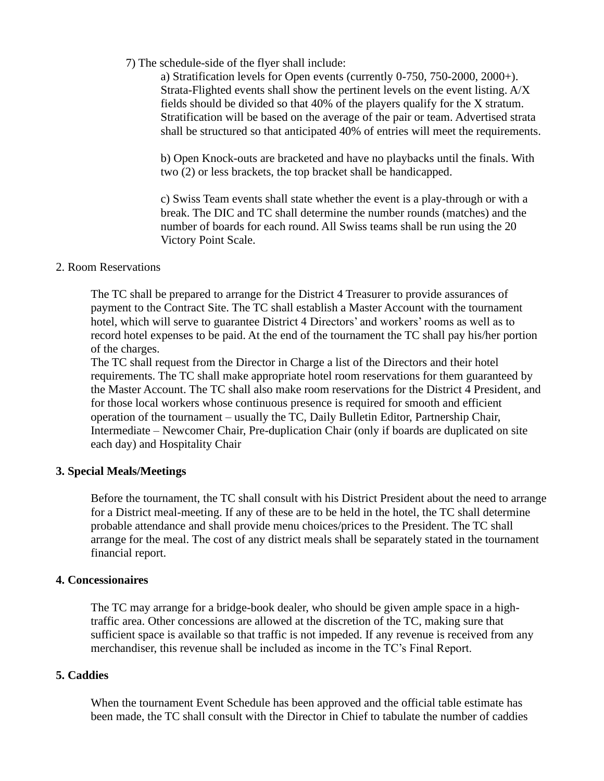#### 7) The schedule-side of the flyer shall include:

a) Stratification levels for Open events (currently 0-750, 750-2000, 2000+). Strata-Flighted events shall show the pertinent levels on the event listing. A/X fields should be divided so that 40% of the players qualify for the X stratum. Stratification will be based on the average of the pair or team. Advertised strata shall be structured so that anticipated 40% of entries will meet the requirements.

b) Open Knock-outs are bracketed and have no playbacks until the finals. With two (2) or less brackets, the top bracket shall be handicapped.

c) Swiss Team events shall state whether the event is a play-through or with a break. The DIC and TC shall determine the number rounds (matches) and the number of boards for each round. All Swiss teams shall be run using the 20 Victory Point Scale.

#### 2. Room Reservations

The TC shall be prepared to arrange for the District 4 Treasurer to provide assurances of payment to the Contract Site. The TC shall establish a Master Account with the tournament hotel, which will serve to guarantee District 4 Directors' and workers' rooms as well as to record hotel expenses to be paid. At the end of the tournament the TC shall pay his/her portion of the charges.

The TC shall request from the Director in Charge a list of the Directors and their hotel requirements. The TC shall make appropriate hotel room reservations for them guaranteed by the Master Account. The TC shall also make room reservations for the District 4 President, and for those local workers whose continuous presence is required for smooth and efficient operation of the tournament – usually the TC, Daily Bulletin Editor, Partnership Chair, Intermediate – Newcomer Chair, Pre-duplication Chair (only if boards are duplicated on site each day) and Hospitality Chair

#### **3. Special Meals/Meetings**

Before the tournament, the TC shall consult with his District President about the need to arrange for a District meal-meeting. If any of these are to be held in the hotel, the TC shall determine probable attendance and shall provide menu choices/prices to the President. The TC shall arrange for the meal. The cost of any district meals shall be separately stated in the tournament financial report.

#### **4. Concessionaires**

The TC may arrange for a bridge-book dealer, who should be given ample space in a hightraffic area. Other concessions are allowed at the discretion of the TC, making sure that sufficient space is available so that traffic is not impeded. If any revenue is received from any merchandiser, this revenue shall be included as income in the TC's Final Report.

#### **5. Caddies**

When the tournament Event Schedule has been approved and the official table estimate has been made, the TC shall consult with the Director in Chief to tabulate the number of caddies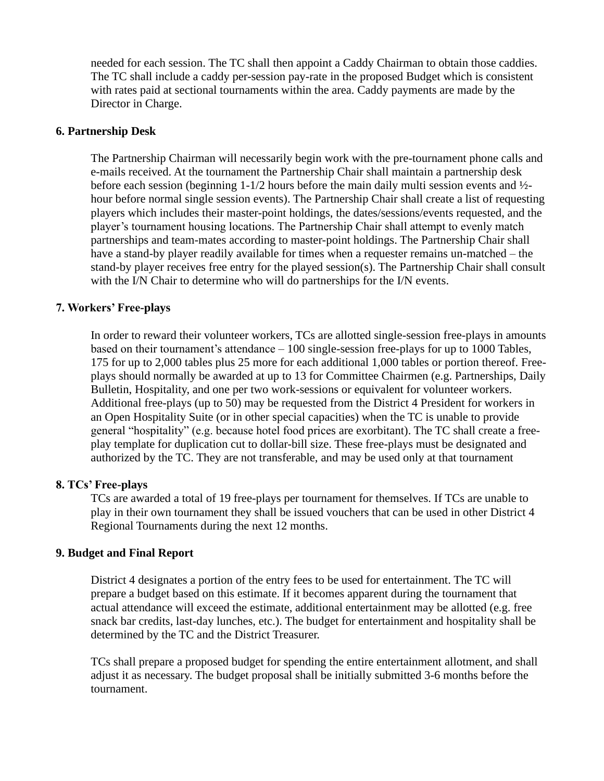needed for each session. The TC shall then appoint a Caddy Chairman to obtain those caddies. The TC shall include a caddy per-session pay-rate in the proposed Budget which is consistent with rates paid at sectional tournaments within the area. Caddy payments are made by the Director in Charge.

#### **6. Partnership Desk**

The Partnership Chairman will necessarily begin work with the pre-tournament phone calls and e-mails received. At the tournament the Partnership Chair shall maintain a partnership desk before each session (beginning 1-1/2 hours before the main daily multi session events and ½ hour before normal single session events). The Partnership Chair shall create a list of requesting players which includes their master-point holdings, the dates/sessions/events requested, and the player's tournament housing locations. The Partnership Chair shall attempt to evenly match partnerships and team-mates according to master-point holdings. The Partnership Chair shall have a stand-by player readily available for times when a requester remains un-matched – the stand-by player receives free entry for the played session(s). The Partnership Chair shall consult with the I/N Chair to determine who will do partnerships for the I/N events.

#### **7. Workers' Free-plays**

In order to reward their volunteer workers, TCs are allotted single-session free-plays in amounts based on their tournament's attendance – 100 single-session free-plays for up to 1000 Tables, 175 for up to 2,000 tables plus 25 more for each additional 1,000 tables or portion thereof. Freeplays should normally be awarded at up to 13 for Committee Chairmen (e.g. Partnerships, Daily Bulletin, Hospitality, and one per two work-sessions or equivalent for volunteer workers. Additional free-plays (up to 50) may be requested from the District 4 President for workers in an Open Hospitality Suite (or in other special capacities) when the TC is unable to provide general "hospitality" (e.g. because hotel food prices are exorbitant). The TC shall create a freeplay template for duplication cut to dollar-bill size. These free-plays must be designated and authorized by the TC. They are not transferable, and may be used only at that tournament

#### **8. TCs' Free-plays**

TCs are awarded a total of 19 free-plays per tournament for themselves. If TCs are unable to play in their own tournament they shall be issued vouchers that can be used in other District 4 Regional Tournaments during the next 12 months.

#### **9. Budget and Final Report**

District 4 designates a portion of the entry fees to be used for entertainment. The TC will prepare a budget based on this estimate. If it becomes apparent during the tournament that actual attendance will exceed the estimate, additional entertainment may be allotted (e.g. free snack bar credits, last-day lunches, etc.). The budget for entertainment and hospitality shall be determined by the TC and the District Treasurer.

TCs shall prepare a proposed budget for spending the entire entertainment allotment, and shall adjust it as necessary. The budget proposal shall be initially submitted 3-6 months before the tournament.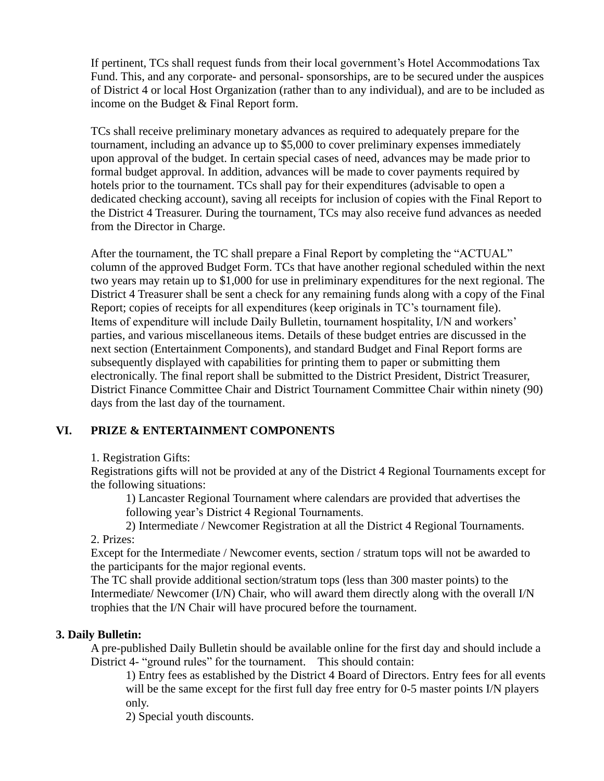If pertinent, TCs shall request funds from their local government's Hotel Accommodations Tax Fund. This, and any corporate- and personal- sponsorships, are to be secured under the auspices of District 4 or local Host Organization (rather than to any individual), and are to be included as income on the Budget & Final Report form.

TCs shall receive preliminary monetary advances as required to adequately prepare for the tournament, including an advance up to \$5,000 to cover preliminary expenses immediately upon approval of the budget. In certain special cases of need, advances may be made prior to formal budget approval. In addition, advances will be made to cover payments required by hotels prior to the tournament. TCs shall pay for their expenditures (advisable to open a dedicated checking account), saving all receipts for inclusion of copies with the Final Report to the District 4 Treasurer. During the tournament, TCs may also receive fund advances as needed from the Director in Charge.

After the tournament, the TC shall prepare a Final Report by completing the "ACTUAL" column of the approved Budget Form. TCs that have another regional scheduled within the next two years may retain up to \$1,000 for use in preliminary expenditures for the next regional. The District 4 Treasurer shall be sent a check for any remaining funds along with a copy of the Final Report; copies of receipts for all expenditures (keep originals in TC's tournament file). Items of expenditure will include Daily Bulletin, tournament hospitality, I/N and workers' parties, and various miscellaneous items. Details of these budget entries are discussed in the next section (Entertainment Components), and standard Budget and Final Report forms are subsequently displayed with capabilities for printing them to paper or submitting them electronically. The final report shall be submitted to the District President, District Treasurer, District Finance Committee Chair and District Tournament Committee Chair within ninety (90) days from the last day of the tournament.

# **VI. PRIZE & ENTERTAINMENT COMPONENTS**

1. Registration Gifts:

Registrations gifts will not be provided at any of the District 4 Regional Tournaments except for the following situations:

1) Lancaster Regional Tournament where calendars are provided that advertises the following year's District 4 Regional Tournaments.

2) Intermediate / Newcomer Registration at all the District 4 Regional Tournaments.

2. Prizes:

Except for the Intermediate / Newcomer events, section / stratum tops will not be awarded to the participants for the major regional events.

The TC shall provide additional section/stratum tops (less than 300 master points) to the Intermediate/ Newcomer (I/N) Chair, who will award them directly along with the overall I/N trophies that the I/N Chair will have procured before the tournament.

#### **3. Daily Bulletin:**

A pre-published Daily Bulletin should be available online for the first day and should include a District 4- "ground rules" for the tournament. This should contain:

1) Entry fees as established by the District 4 Board of Directors. Entry fees for all events will be the same except for the first full day free entry for 0-5 master points I/N players only.

2) Special youth discounts.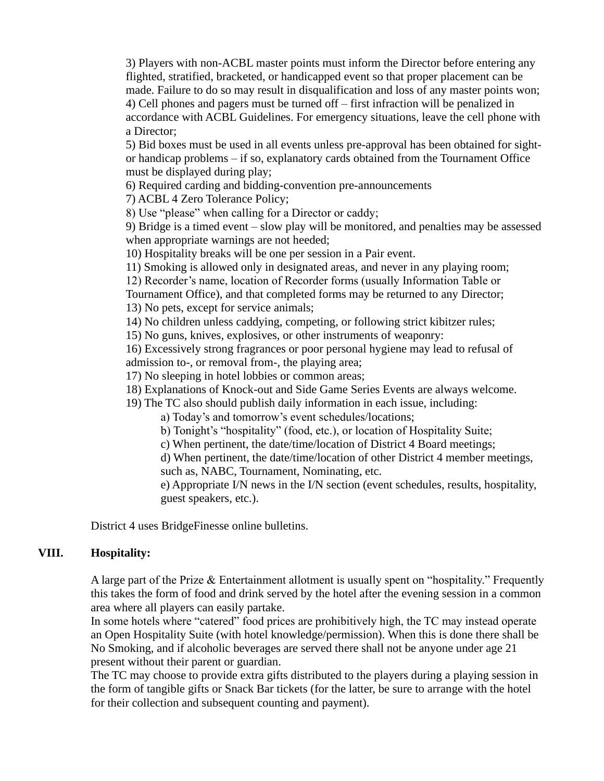3) Players with non-ACBL master points must inform the Director before entering any flighted, stratified, bracketed, or handicapped event so that proper placement can be made. Failure to do so may result in disqualification and loss of any master points won; 4) Cell phones and pagers must be turned off – first infraction will be penalized in accordance with ACBL Guidelines. For emergency situations, leave the cell phone with a Director;

5) Bid boxes must be used in all events unless pre-approval has been obtained for sightor handicap problems – if so, explanatory cards obtained from the Tournament Office must be displayed during play;

6) Required carding and bidding-convention pre-announcements

7) ACBL 4 Zero Tolerance Policy;

8) Use "please" when calling for a Director or caddy;

9) Bridge is a timed event – slow play will be monitored, and penalties may be assessed when appropriate warnings are not heeded;

10) Hospitality breaks will be one per session in a Pair event.

11) Smoking is allowed only in designated areas, and never in any playing room;

12) Recorder's name, location of Recorder forms (usually Information Table or

Tournament Office), and that completed forms may be returned to any Director; 13) No pets, except for service animals;

14) No children unless caddying, competing, or following strict kibitzer rules;

15) No guns, knives, explosives, or other instruments of weaponry:

16) Excessively strong fragrances or poor personal hygiene may lead to refusal of admission to-, or removal from-, the playing area;

17) No sleeping in hotel lobbies or common areas;

18) Explanations of Knock-out and Side Game Series Events are always welcome.

19) The TC also should publish daily information in each issue, including:

a) Today's and tomorrow's event schedules/locations;

b) Tonight's "hospitality" (food, etc.), or location of Hospitality Suite;

c) When pertinent, the date/time/location of District 4 Board meetings;

d) When pertinent, the date/time/location of other District 4 member meetings, such as, NABC, Tournament, Nominating, etc.

e) Appropriate I/N news in the I/N section (event schedules, results, hospitality, guest speakers, etc.).

District 4 uses BridgeFinesse online bulletins.

# **VIII. Hospitality:**

A large part of the Prize & Entertainment allotment is usually spent on "hospitality." Frequently this takes the form of food and drink served by the hotel after the evening session in a common area where all players can easily partake.

In some hotels where "catered" food prices are prohibitively high, the TC may instead operate an Open Hospitality Suite (with hotel knowledge/permission). When this is done there shall be No Smoking, and if alcoholic beverages are served there shall not be anyone under age 21 present without their parent or guardian.

The TC may choose to provide extra gifts distributed to the players during a playing session in the form of tangible gifts or Snack Bar tickets (for the latter, be sure to arrange with the hotel for their collection and subsequent counting and payment).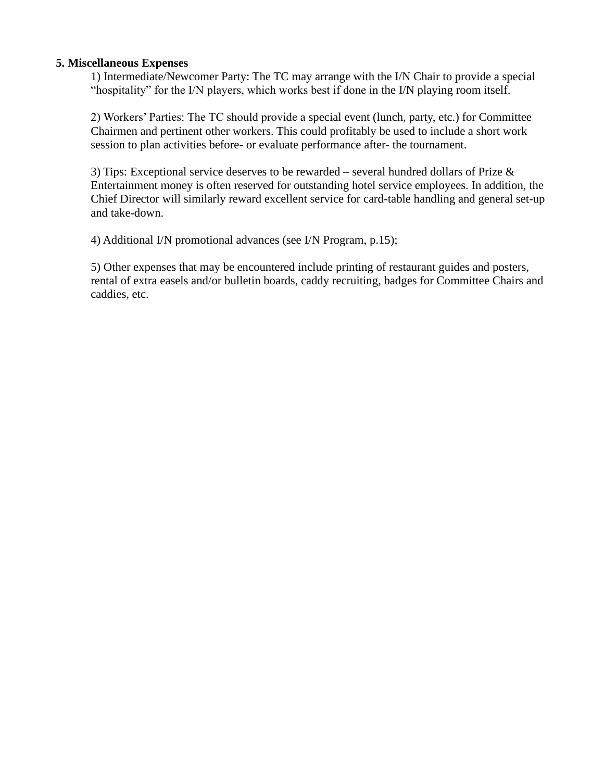#### **5. Miscellaneous Expenses**

1) Intermediate/Newcomer Party: The TC may arrange with the I/N Chair to provide a special "hospitality" for the I/N players, which works best if done in the I/N playing room itself.

2) Workers' Parties: The TC should provide a special event (lunch, party, etc.) for Committee Chairmen and pertinent other workers. This could profitably be used to include a short work session to plan activities before- or evaluate performance after- the tournament.

3) Tips: Exceptional service deserves to be rewarded – several hundred dollars of Prize & Entertainment money is often reserved for outstanding hotel service employees. In addition, the Chief Director will similarly reward excellent service for card-table handling and general set-up and take-down.

4) Additional I/N promotional advances (see I/N Program, p.15);

5) Other expenses that may be encountered include printing of restaurant guides and posters, rental of extra easels and/or bulletin boards, caddy recruiting, badges for Committee Chairs and caddies, etc.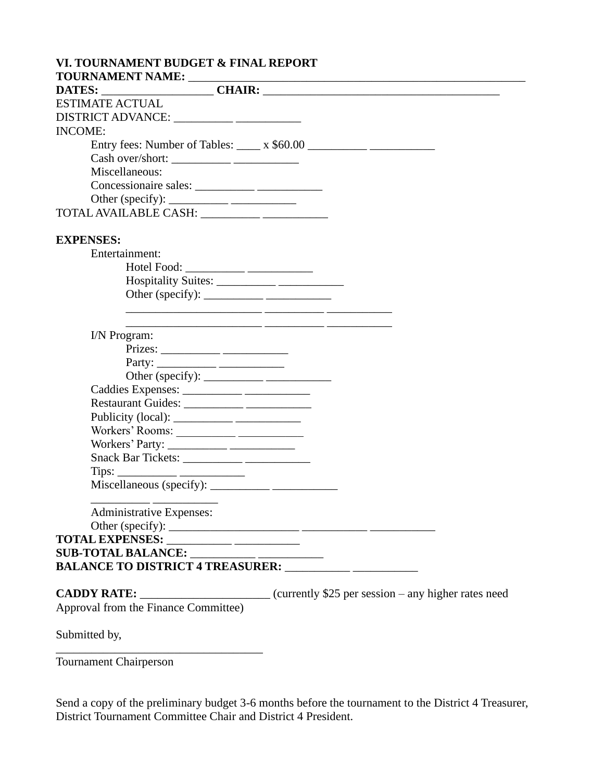| VI. TOURNAMENT BUDGET & FINAL REPORT                                                                                                                                                                                                                                                                                                                                                                                                |
|-------------------------------------------------------------------------------------------------------------------------------------------------------------------------------------------------------------------------------------------------------------------------------------------------------------------------------------------------------------------------------------------------------------------------------------|
|                                                                                                                                                                                                                                                                                                                                                                                                                                     |
| <b>ESTIMATE ACTUAL</b>                                                                                                                                                                                                                                                                                                                                                                                                              |
|                                                                                                                                                                                                                                                                                                                                                                                                                                     |
| <b>INCOME:</b>                                                                                                                                                                                                                                                                                                                                                                                                                      |
|                                                                                                                                                                                                                                                                                                                                                                                                                                     |
| Entry fees: Number of Tables: $\_\_\_$ x \$60.00 $\_\_\_\_\_\_\_$                                                                                                                                                                                                                                                                                                                                                                   |
| Miscellaneous:                                                                                                                                                                                                                                                                                                                                                                                                                      |
|                                                                                                                                                                                                                                                                                                                                                                                                                                     |
|                                                                                                                                                                                                                                                                                                                                                                                                                                     |
| Other (specify): $\frac{1}{\sqrt{1-\frac{1}{2}} \cdot \frac{1}{2}}$                                                                                                                                                                                                                                                                                                                                                                 |
| TOTAL AVAILABLE CASH: __________ ___________                                                                                                                                                                                                                                                                                                                                                                                        |
| <b>EXPENSES:</b>                                                                                                                                                                                                                                                                                                                                                                                                                    |
| Entertainment:                                                                                                                                                                                                                                                                                                                                                                                                                      |
|                                                                                                                                                                                                                                                                                                                                                                                                                                     |
|                                                                                                                                                                                                                                                                                                                                                                                                                                     |
| Other (specify): $\_\_\_\_\_\_\_\_\_\_\_\_\_\_\_\_\_\_\_$                                                                                                                                                                                                                                                                                                                                                                           |
|                                                                                                                                                                                                                                                                                                                                                                                                                                     |
|                                                                                                                                                                                                                                                                                                                                                                                                                                     |
| I/N Program:                                                                                                                                                                                                                                                                                                                                                                                                                        |
|                                                                                                                                                                                                                                                                                                                                                                                                                                     |
|                                                                                                                                                                                                                                                                                                                                                                                                                                     |
|                                                                                                                                                                                                                                                                                                                                                                                                                                     |
|                                                                                                                                                                                                                                                                                                                                                                                                                                     |
|                                                                                                                                                                                                                                                                                                                                                                                                                                     |
| Publicity (local): $\frac{1}{\frac{1}{2} \cdot \frac{1}{2} \cdot \frac{1}{2} \cdot \frac{1}{2} \cdot \frac{1}{2} \cdot \frac{1}{2} \cdot \frac{1}{2} \cdot \frac{1}{2} \cdot \frac{1}{2} \cdot \frac{1}{2} \cdot \frac{1}{2} \cdot \frac{1}{2} \cdot \frac{1}{2} \cdot \frac{1}{2} \cdot \frac{1}{2} \cdot \frac{1}{2} \cdot \frac{1}{2} \cdot \frac{1}{2} \cdot \frac{1}{2} \cdot \frac{1}{2} \cdot \frac{1}{2} \cdot \frac{1}{2}$ |
|                                                                                                                                                                                                                                                                                                                                                                                                                                     |
|                                                                                                                                                                                                                                                                                                                                                                                                                                     |
|                                                                                                                                                                                                                                                                                                                                                                                                                                     |
|                                                                                                                                                                                                                                                                                                                                                                                                                                     |
|                                                                                                                                                                                                                                                                                                                                                                                                                                     |
|                                                                                                                                                                                                                                                                                                                                                                                                                                     |
| Administrative Expenses:                                                                                                                                                                                                                                                                                                                                                                                                            |
|                                                                                                                                                                                                                                                                                                                                                                                                                                     |
| TOTAL EXPENSES: __________ _________                                                                                                                                                                                                                                                                                                                                                                                                |
|                                                                                                                                                                                                                                                                                                                                                                                                                                     |
|                                                                                                                                                                                                                                                                                                                                                                                                                                     |
|                                                                                                                                                                                                                                                                                                                                                                                                                                     |
| <b>CADDY RATE:</b> ___________________________(currently \$25 per session – any higher rates need                                                                                                                                                                                                                                                                                                                                   |
| Approval from the Finance Committee)                                                                                                                                                                                                                                                                                                                                                                                                |
| Submitted by,                                                                                                                                                                                                                                                                                                                                                                                                                       |

Tournament Chairperson

Send a copy of the preliminary budget 3-6 months before the tournament to the District 4 Treasurer, District Tournament Committee Chair and District 4 President.

 $\frac{1}{\sqrt{2}}$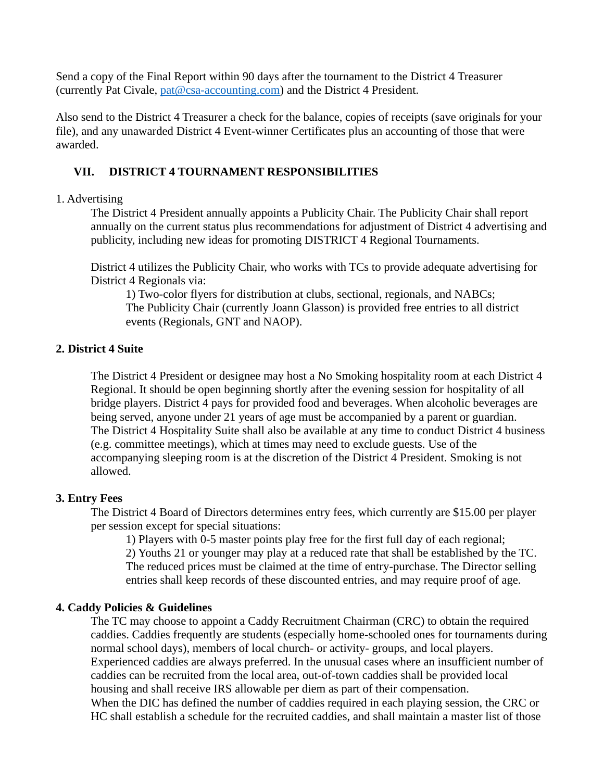Send a copy of the Final Report within 90 days after the tournament to the District 4 Treasurer (currently Pat Civale, [pat@csa-accounting.com\)](mailto:pat@csa-accounting.com) and the District 4 President.

Also send to the District 4 Treasurer a check for the balance, copies of receipts (save originals for your file), and any unawarded District 4 Event-winner Certificates plus an accounting of those that were awarded.

# **VII. DISTRICT 4 TOURNAMENT RESPONSIBILITIES**

## 1. Advertising

The District 4 President annually appoints a Publicity Chair. The Publicity Chair shall report annually on the current status plus recommendations for adjustment of District 4 advertising and publicity, including new ideas for promoting DISTRICT 4 Regional Tournaments.

District 4 utilizes the Publicity Chair, who works with TCs to provide adequate advertising for District 4 Regionals via:

1) Two-color flyers for distribution at clubs, sectional, regionals, and NABCs; The Publicity Chair (currently Joann Glasson) is provided free entries to all district events (Regionals, GNT and NAOP).

# **2. District 4 Suite**

The District 4 President or designee may host a No Smoking hospitality room at each District 4 Regional. It should be open beginning shortly after the evening session for hospitality of all bridge players. District 4 pays for provided food and beverages. When alcoholic beverages are being served, anyone under 21 years of age must be accompanied by a parent or guardian. The District 4 Hospitality Suite shall also be available at any time to conduct District 4 business (e.g. committee meetings), which at times may need to exclude guests. Use of the accompanying sleeping room is at the discretion of the District 4 President. Smoking is not allowed.

# **3. Entry Fees**

The District 4 Board of Directors determines entry fees, which currently are \$15.00 per player per session except for special situations:

1) Players with 0-5 master points play free for the first full day of each regional; 2) Youths 21 or younger may play at a reduced rate that shall be established by the TC. The reduced prices must be claimed at the time of entry-purchase. The Director selling entries shall keep records of these discounted entries, and may require proof of age.

# **4. Caddy Policies & Guidelines**

The TC may choose to appoint a Caddy Recruitment Chairman (CRC) to obtain the required caddies. Caddies frequently are students (especially home-schooled ones for tournaments during normal school days), members of local church- or activity- groups, and local players. Experienced caddies are always preferred. In the unusual cases where an insufficient number of caddies can be recruited from the local area, out-of-town caddies shall be provided local housing and shall receive IRS allowable per diem as part of their compensation. When the DIC has defined the number of caddies required in each playing session, the CRC or HC shall establish a schedule for the recruited caddies, and shall maintain a master list of those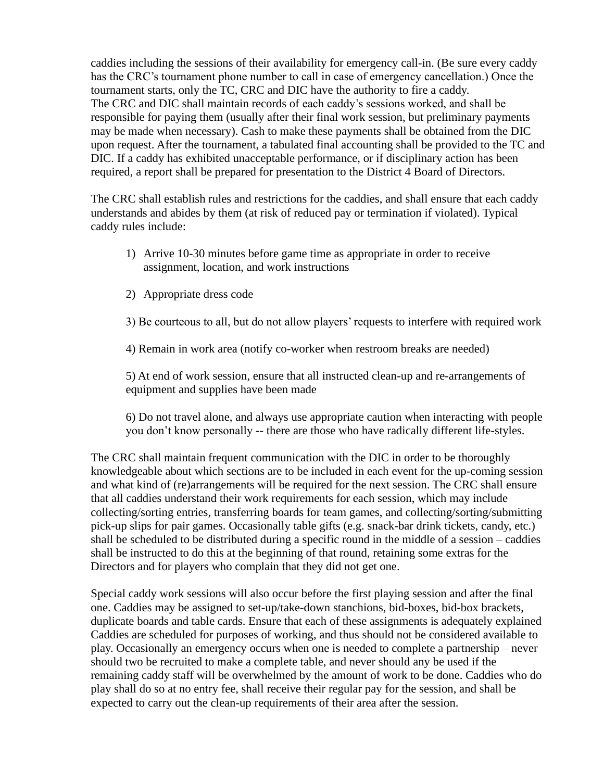caddies including the sessions of their availability for emergency call-in. (Be sure every caddy has the CRC's tournament phone number to call in case of emergency cancellation.) Once the tournament starts, only the TC, CRC and DIC have the authority to fire a caddy. The CRC and DIC shall maintain records of each caddy's sessions worked, and shall be responsible for paying them (usually after their final work session, but preliminary payments may be made when necessary). Cash to make these payments shall be obtained from the DIC upon request. After the tournament, a tabulated final accounting shall be provided to the TC and DIC. If a caddy has exhibited unacceptable performance, or if disciplinary action has been required, a report shall be prepared for presentation to the District 4 Board of Directors.

The CRC shall establish rules and restrictions for the caddies, and shall ensure that each caddy understands and abides by them (at risk of reduced pay or termination if violated). Typical caddy rules include:

- 1) Arrive 10-30 minutes before game time as appropriate in order to receive assignment, location, and work instructions
- 2) Appropriate dress code
- 3) Be courteous to all, but do not allow players' requests to interfere with required work

4) Remain in work area (notify co-worker when restroom breaks are needed)

5) At end of work session, ensure that all instructed clean-up and re-arrangements of equipment and supplies have been made

6) Do not travel alone, and always use appropriate caution when interacting with people you don't know personally -- there are those who have radically different life-styles.

The CRC shall maintain frequent communication with the DIC in order to be thoroughly knowledgeable about which sections are to be included in each event for the up-coming session and what kind of (re)arrangements will be required for the next session. The CRC shall ensure that all caddies understand their work requirements for each session, which may include collecting/sorting entries, transferring boards for team games, and collecting/sorting/submitting pick-up slips for pair games. Occasionally table gifts (e.g. snack-bar drink tickets, candy, etc.) shall be scheduled to be distributed during a specific round in the middle of a session – caddies shall be instructed to do this at the beginning of that round, retaining some extras for the Directors and for players who complain that they did not get one.

Special caddy work sessions will also occur before the first playing session and after the final one. Caddies may be assigned to set-up/take-down stanchions, bid-boxes, bid-box brackets, duplicate boards and table cards. Ensure that each of these assignments is adequately explained Caddies are scheduled for purposes of working, and thus should not be considered available to play. Occasionally an emergency occurs when one is needed to complete a partnership – never should two be recruited to make a complete table, and never should any be used if the remaining caddy staff will be overwhelmed by the amount of work to be done. Caddies who do play shall do so at no entry fee, shall receive their regular pay for the session, and shall be expected to carry out the clean-up requirements of their area after the session.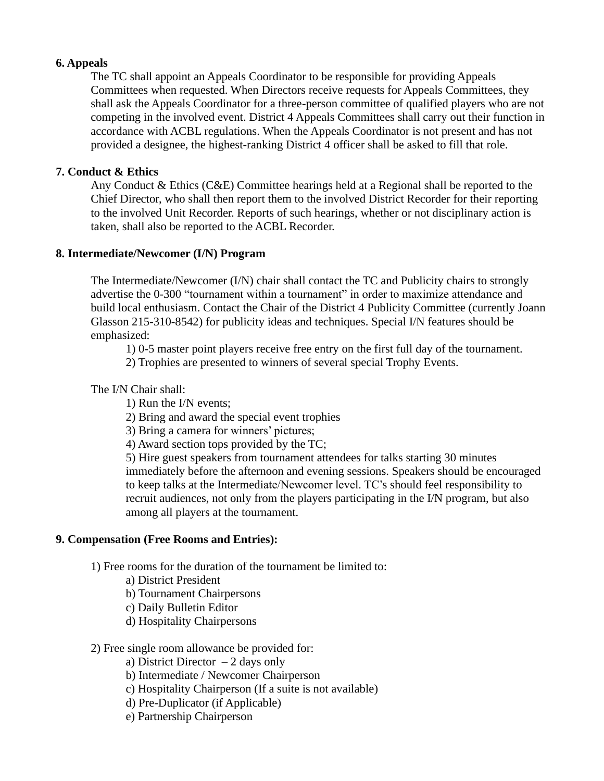# **6. Appeals**

The TC shall appoint an Appeals Coordinator to be responsible for providing Appeals Committees when requested. When Directors receive requests for Appeals Committees, they shall ask the Appeals Coordinator for a three-person committee of qualified players who are not competing in the involved event. District 4 Appeals Committees shall carry out their function in accordance with ACBL regulations. When the Appeals Coordinator is not present and has not provided a designee, the highest-ranking District 4 officer shall be asked to fill that role.

## **7. Conduct & Ethics**

Any Conduct & Ethics (C&E) Committee hearings held at a Regional shall be reported to the Chief Director, who shall then report them to the involved District Recorder for their reporting to the involved Unit Recorder. Reports of such hearings, whether or not disciplinary action is taken, shall also be reported to the ACBL Recorder.

## **8. Intermediate/Newcomer (I/N) Program**

The Intermediate/Newcomer (I/N) chair shall contact the TC and Publicity chairs to strongly advertise the 0-300 "tournament within a tournament" in order to maximize attendance and build local enthusiasm. Contact the Chair of the District 4 Publicity Committee (currently Joann Glasson 215-310-8542) for publicity ideas and techniques. Special I/N features should be emphasized:

1) 0-5 master point players receive free entry on the first full day of the tournament.

2) Trophies are presented to winners of several special Trophy Events.

# The I/N Chair shall:

- 1) Run the I/N events;
- 2) Bring and award the special event trophies
- 3) Bring a camera for winners' pictures;
- 4) Award section tops provided by the TC;

5) Hire guest speakers from tournament attendees for talks starting 30 minutes immediately before the afternoon and evening sessions. Speakers should be encouraged to keep talks at the Intermediate/Newcomer level. TC's should feel responsibility to recruit audiences, not only from the players participating in the I/N program, but also among all players at the tournament.

# **9. Compensation (Free Rooms and Entries):**

1) Free rooms for the duration of the tournament be limited to:

- a) District President
- b) Tournament Chairpersons
- c) Daily Bulletin Editor
- d) Hospitality Chairpersons

#### 2) Free single room allowance be provided for:

- a) District Director  $-2$  days only
- b) Intermediate / Newcomer Chairperson
- c) Hospitality Chairperson (If a suite is not available)
- d) Pre-Duplicator (if Applicable)
- e) Partnership Chairperson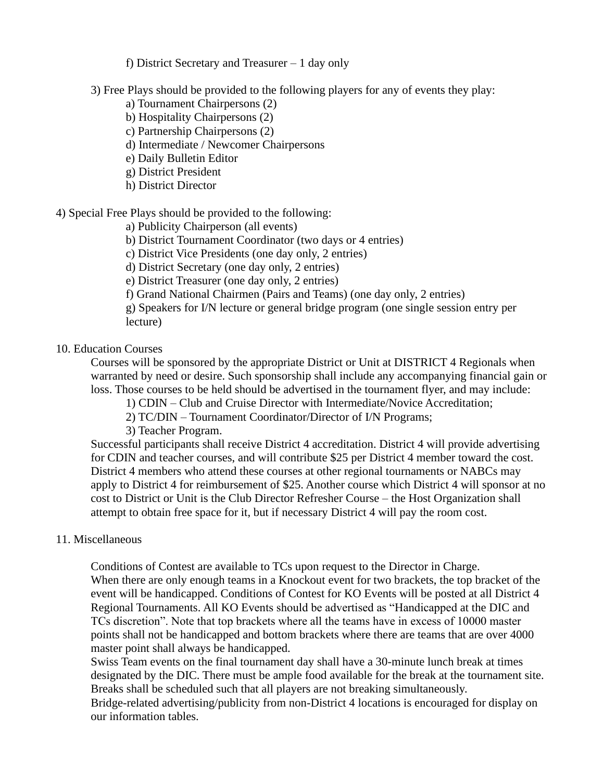f) District Secretary and Treasurer – 1 day only

3) Free Plays should be provided to the following players for any of events they play:

- a) Tournament Chairpersons (2)
- b) Hospitality Chairpersons (2)
- c) Partnership Chairpersons (2)
- d) Intermediate / Newcomer Chairpersons
- e) Daily Bulletin Editor
- g) District President
- h) District Director

4) Special Free Plays should be provided to the following:

a) Publicity Chairperson (all events)

- b) District Tournament Coordinator (two days or 4 entries)
- c) District Vice Presidents (one day only, 2 entries)
- d) District Secretary (one day only, 2 entries)
- e) District Treasurer (one day only, 2 entries)

f) Grand National Chairmen (Pairs and Teams) (one day only, 2 entries)

g) Speakers for I/N lecture or general bridge program (one single session entry per lecture)

## 10. Education Courses

Courses will be sponsored by the appropriate District or Unit at DISTRICT 4 Regionals when warranted by need or desire. Such sponsorship shall include any accompanying financial gain or loss. Those courses to be held should be advertised in the tournament flyer, and may include:

- 1) CDIN Club and Cruise Director with Intermediate/Novice Accreditation;
- 2) TC/DIN Tournament Coordinator/Director of I/N Programs;
- 3) Teacher Program.

Successful participants shall receive District 4 accreditation. District 4 will provide advertising for CDIN and teacher courses, and will contribute \$25 per District 4 member toward the cost. District 4 members who attend these courses at other regional tournaments or NABCs may apply to District 4 for reimbursement of \$25. Another course which District 4 will sponsor at no cost to District or Unit is the Club Director Refresher Course – the Host Organization shall attempt to obtain free space for it, but if necessary District 4 will pay the room cost.

#### 11. Miscellaneous

Conditions of Contest are available to TCs upon request to the Director in Charge. When there are only enough teams in a Knockout event for two brackets, the top bracket of the event will be handicapped. Conditions of Contest for KO Events will be posted at all District 4 Regional Tournaments. All KO Events should be advertised as "Handicapped at the DIC and TCs discretion". Note that top brackets where all the teams have in excess of 10000 master points shall not be handicapped and bottom brackets where there are teams that are over 4000 master point shall always be handicapped.

Swiss Team events on the final tournament day shall have a 30-minute lunch break at times designated by the DIC. There must be ample food available for the break at the tournament site. Breaks shall be scheduled such that all players are not breaking simultaneously. Bridge-related advertising/publicity from non-District 4 locations is encouraged for display on our information tables.